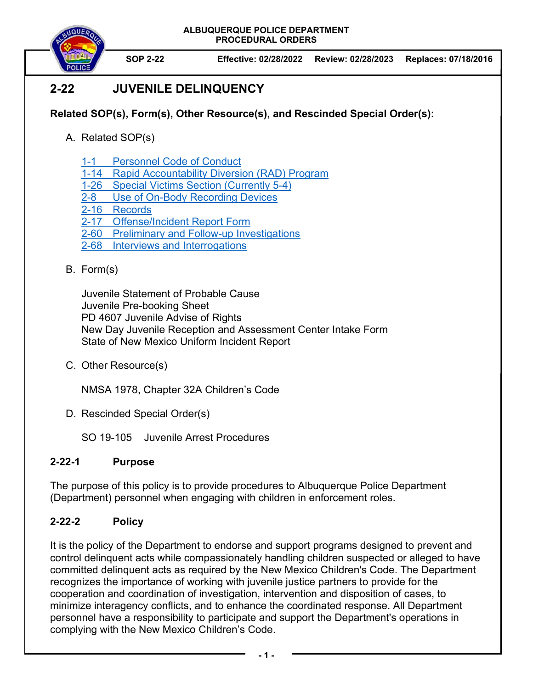

**SOP 2-22 Effective: 02/28/2022 Review: 02/28/2023 Replaces: 07/18/2016** 

# **2-22 JUVENILE DELINQUENCY**

## **Related SOP(s), Form(s), Other Resource(s), and Rescinded Special Order(s):**

- A. Related SOP(s)
	- 1-1 Personnel Code of Conduct
	- 1-14 Rapid Accountability Diversion (RAD) Program
	- 1-26 Special Victims Section (Currently 5-4)
	- 2-8 Use of On-Body Recording Devices
	- 2-16 Records
	- 2-17 Offense/Incident Report Form
	- 2-60 Preliminary and Follow-up Investigations
	- 2-68 Interviews and Interrogations
- B. Form(s)

Juvenile Statement of Probable Cause Juvenile Pre-booking Sheet PD 4607 Juvenile Advise of Rights New Day Juvenile Reception and Assessment Center Intake Form State of New Mexico Uniform Incident Report

C. Other Resource(s)

NMSA 1978, Chapter 32A Children's Code

D. Rescinded Special Order(s)

SO 19-105 Juvenile Arrest Procedures

### **2-22-1 Purpose**

The purpose of this policy is to provide procedures to Albuquerque Police Department (Department) personnel when engaging with children in enforcement roles.

## **2-22-2 Policy**

It is the policy of the Department to endorse and support programs designed to prevent and control delinquent acts while compassionately handling children suspected or alleged to have committed delinquent acts as required by the New Mexico Children's Code. The Department recognizes the importance of working with juvenile justice partners to provide for the cooperation and coordination of investigation, intervention and disposition of cases, to minimize interagency conflicts, and to enhance the coordinated response. All Department personnel have a responsibility to participate and support the Department's operations in complying with the New Mexico Children's Code.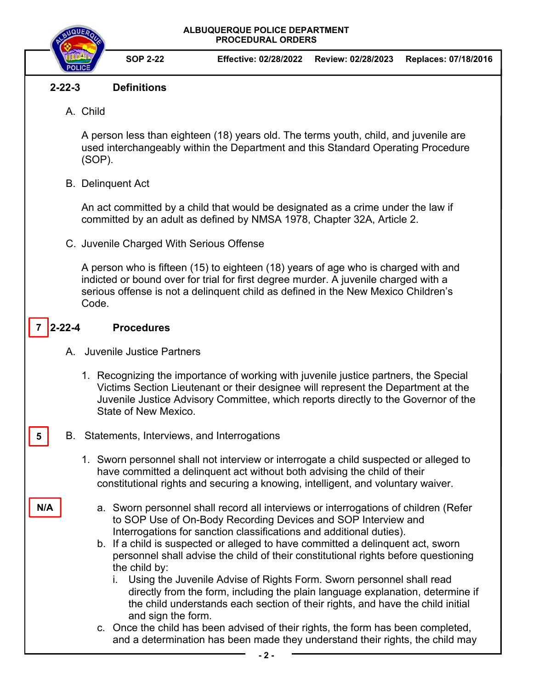

### **2-22-3 Definitions**

A. Child

A person less than eighteen (18) years old. The terms youth, child, and juvenile are used interchangeably within the Department and this Standard Operating Procedure (SOP).

B. Delinquent Act

An act committed by a child that would be designated as a crime under the law if committed by an adult as defined by NMSA 1978, Chapter 32A, Article 2.

C. Juvenile Charged With Serious Offense

A person who is fifteen (15) to eighteen (18) years of age who is charged with and indicted or bound over for trial for first degree murder. A juvenile charged with a serious offense is not a delinquent child as defined in the New Mexico Children's Code.

#### **2-22-4 Procedures**   $7 \mid 2 - 22 - 4$

**5** 

**N/A** 

- A. Juvenile Justice Partners
	- 1. Recognizing the importance of working with juvenile justice partners, the Special Victims Section Lieutenant or their designee will represent the Department at the Juvenile Justice Advisory Committee, which reports directly to the Governor of the State of New Mexico.
- B. Statements, Interviews, and Interrogations
	- 1. Sworn personnel shall not interview or interrogate a child suspected or alleged to have committed a delinquent act without both advising the child of their constitutional rights and securing a knowing, intelligent, and voluntary waiver.
		- a. Sworn personnel shall record all interviews or interrogations of children (Refer to SOP Use of On-Body Recording Devices and SOP Interview and Interrogations for sanction classifications and additional duties).
		- b. If a child is suspected or alleged to have committed a delinquent act, sworn personnel shall advise the child of their constitutional rights before questioning the child by:
			- i. Using the Juvenile Advise of Rights Form. Sworn personnel shall read directly from the form, including the plain language explanation, determine if the child understands each section of their rights, and have the child initial and sign the form.
		- c. Once the child has been advised of their rights, the form has been completed, and a determination has been made they understand their rights, the child may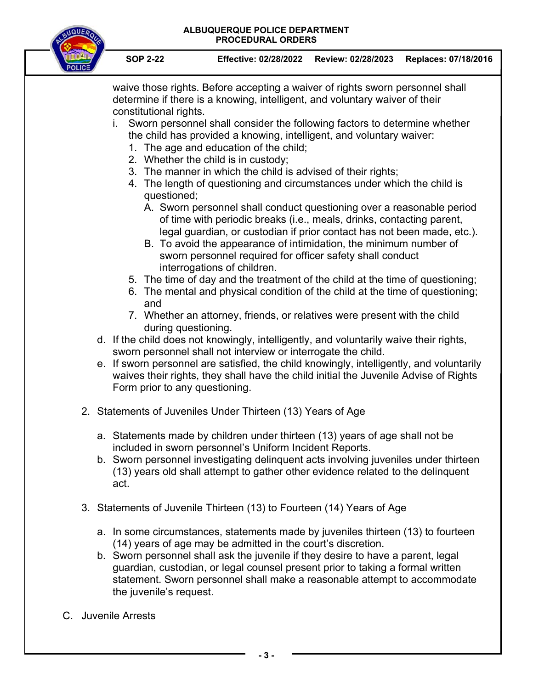

waive those rights. Before accepting a waiver of rights sworn personnel shall determine if there is a knowing, intelligent, and voluntary waiver of their constitutional rights.

- i. Sworn personnel shall consider the following factors to determine whether the child has provided a knowing, intelligent, and voluntary waiver:
	- 1. The age and education of the child;
	- 2. Whether the child is in custody;
	- 3. The manner in which the child is advised of their rights;
	- 4. The length of questioning and circumstances under which the child is questioned;
		- A. Sworn personnel shall conduct questioning over a reasonable period of time with periodic breaks (i.e., meals, drinks, contacting parent, legal guardian, or custodian if prior contact has not been made, etc.).
		- B. To avoid the appearance of intimidation, the minimum number of sworn personnel required for officer safety shall conduct interrogations of children.
	- 5. The time of day and the treatment of the child at the time of questioning;
	- 6. The mental and physical condition of the child at the time of questioning; and
	- 7. Whether an attorney, friends, or relatives were present with the child during questioning.
- d. If the child does not knowingly, intelligently, and voluntarily waive their rights, sworn personnel shall not interview or interrogate the child.
- e. If sworn personnel are satisfied, the child knowingly, intelligently, and voluntarily waives their rights, they shall have the child initial the Juvenile Advise of Rights Form prior to any questioning.
- 2. Statements of Juveniles Under Thirteen (13) Years of Age
	- a. Statements made by children under thirteen (13) years of age shall not be included in sworn personnel's Uniform Incident Reports.
	- b. Sworn personnel investigating delinquent acts involving juveniles under thirteen (13) years old shall attempt to gather other evidence related to the delinquent act.
- 3. Statements of Juvenile Thirteen (13) to Fourteen (14) Years of Age
	- a. In some circumstances, statements made by juveniles thirteen (13) to fourteen (14) years of age may be admitted in the court's discretion.
	- b. Sworn personnel shall ask the juvenile if they desire to have a parent, legal guardian, custodian, or legal counsel present prior to taking a formal written statement. Sworn personnel shall make a reasonable attempt to accommodate the juvenile's request.
- C. Juvenile Arrests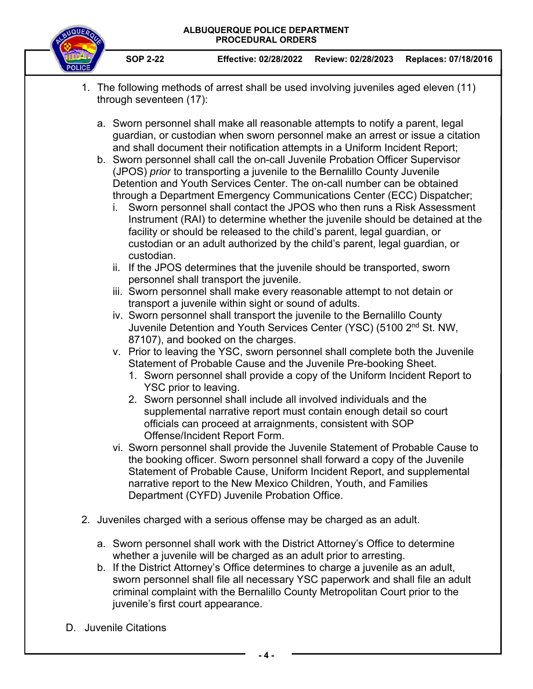

- 1. The following methods of arrest shall be used involving juveniles aged eleven (11) through seventeen (17):
	- a. Sworn personnel shall make all reasonable attempts to notify a parent, legal guardian, or custodian when sworn personnel make an arrest or issue a citation and shall document their notification attempts in a Uniform Incident Report;
	- b. Sworn personnel shall call the on-call Juvenile Probation Officer Supervisor (JPOS) *prior* to transporting a juvenile to the Bernalillo County Juvenile Detention and Youth Services Center. The on-call number can be obtained through a Department Emergency Communications Center (ECC) Dispatcher;
		- i. Sworn personnel shall contact the JPOS who then runs a Risk Assessment Instrument (RAI) to determine whether the juvenile should be detained at the facility or should be released to the child's parent, legal guardian, or custodian or an adult authorized by the child's parent, legal guardian, or custodian.
		- ii. If the JPOS determines that the juvenile should be transported, sworn personnel shall transport the juvenile.
		- iii. Sworn personnel shall make every reasonable attempt to not detain or transport a juvenile within sight or sound of adults.
		- iv. Sworn personnel shall transport the juvenile to the Bernalillo County Juvenile Detention and Youth Services Center (YSC) (5100 2<sup>nd</sup> St. NW, 87107), and booked on the charges.
		- v. Prior to leaving the YSC, sworn personnel shall complete both the Juvenile Statement of Probable Cause and the Juvenile Pre-booking Sheet.
			- 1. Sworn personnel shall provide a copy of the Uniform Incident Report to YSC prior to leaving.
			- 2. Sworn personnel shall include all involved individuals and the supplemental narrative report must contain enough detail so court officials can proceed at arraignments, consistent with SOP Offense/Incident Report Form.
		- vi. Sworn personnel shall provide the Juvenile Statement of Probable Cause to the booking officer. Sworn personnel shall forward a copy of the Juvenile Statement of Probable Cause, Uniform Incident Report, and supplemental narrative report to the New Mexico Children, Youth, and Families Department (CYFD) Juvenile Probation Office.
- 2. Juveniles charged with a serious offense may be charged as an adult.
	- a. Sworn personnel shall work with the District Attorney's Office to determine whether a juvenile will be charged as an adult prior to arresting.
	- b. If the District Attorney's Office determines to charge a juvenile as an adult, sworn personnel shall file all necessary YSC paperwork and shall file an adult criminal complaint with the Bernalillo County Metropolitan Court prior to the juvenile's first court appearance.
- D. Juvenile Citations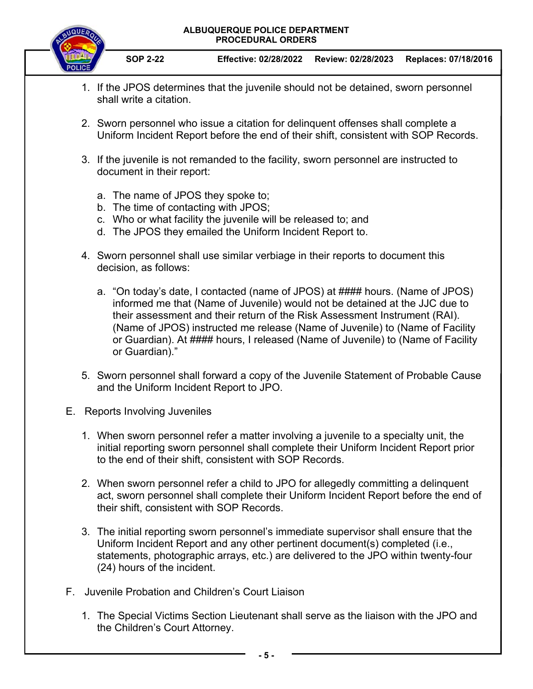

- 1. If the JPOS determines that the juvenile should not be detained, sworn personnel shall write a citation.
- 2. Sworn personnel who issue a citation for delinquent offenses shall complete a Uniform Incident Report before the end of their shift, consistent with SOP Records.
- 3. If the juvenile is not remanded to the facility, sworn personnel are instructed to document in their report:
	- a. The name of JPOS they spoke to;
	- b. The time of contacting with JPOS;
	- c. Who or what facility the juvenile will be released to; and
	- d. The JPOS they emailed the Uniform Incident Report to.
- 4. Sworn personnel shall use similar verbiage in their reports to document this decision, as follows:
	- a. "On today's date, I contacted (name of JPOS) at #### hours. (Name of JPOS) informed me that (Name of Juvenile) would not be detained at the JJC due to their assessment and their return of the Risk Assessment Instrument (RAI). (Name of JPOS) instructed me release (Name of Juvenile) to (Name of Facility or Guardian). At #### hours, I released (Name of Juvenile) to (Name of Facility or Guardian)."
- 5. Sworn personnel shall forward a copy of the Juvenile Statement of Probable Cause and the Uniform Incident Report to JPO.
- E. Reports Involving Juveniles
	- 1. When sworn personnel refer a matter involving a juvenile to a specialty unit, the initial reporting sworn personnel shall complete their Uniform Incident Report prior to the end of their shift, consistent with SOP Records.
	- 2. When sworn personnel refer a child to JPO for allegedly committing a delinquent act, sworn personnel shall complete their Uniform Incident Report before the end of their shift, consistent with SOP Records.
	- 3. The initial reporting sworn personnel's immediate supervisor shall ensure that the Uniform Incident Report and any other pertinent document(s) completed (i.e., statements, photographic arrays, etc.) are delivered to the JPO within twenty-four (24) hours of the incident.
- F. Juvenile Probation and Children's Court Liaison
	- 1. The Special Victims Section Lieutenant shall serve as the liaison with the JPO and the Children's Court Attorney.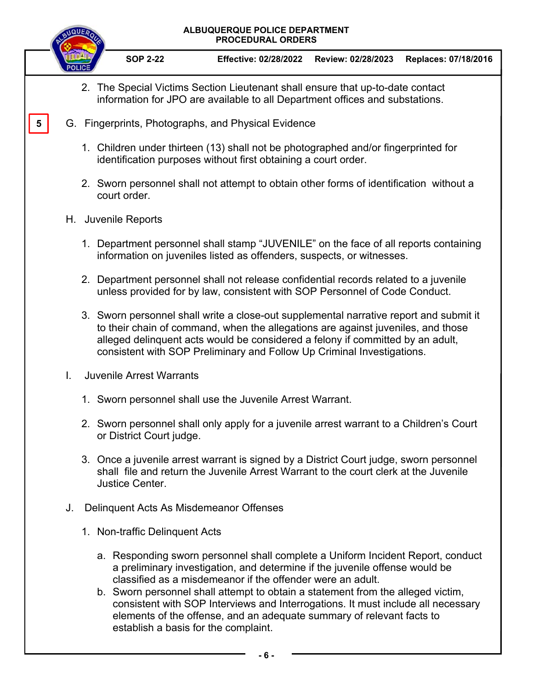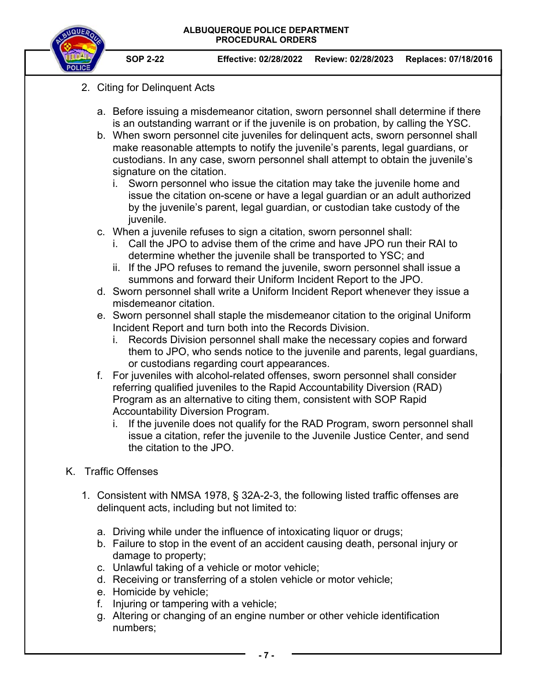

- 2. Citing for Delinquent Acts
	- a. Before issuing a misdemeanor citation, sworn personnel shall determine if there is an outstanding warrant or if the juvenile is on probation, by calling the YSC.
	- b. When sworn personnel cite juveniles for delinquent acts, sworn personnel shall make reasonable attempts to notify the juvenile's parents, legal guardians, or custodians. In any case, sworn personnel shall attempt to obtain the juvenile's signature on the citation.
		- i. Sworn personnel who issue the citation may take the juvenile home and issue the citation on-scene or have a legal guardian or an adult authorized by the juvenile's parent, legal guardian, or custodian take custody of the juvenile.
	- c. When a juvenile refuses to sign a citation, sworn personnel shall:
		- i. Call the JPO to advise them of the crime and have JPO run their RAI to determine whether the juvenile shall be transported to YSC; and
		- ii. If the JPO refuses to remand the juvenile, sworn personnel shall issue a summons and forward their Uniform Incident Report to the JPO.
	- d. Sworn personnel shall write a Uniform Incident Report whenever they issue a misdemeanor citation.
	- e. Sworn personnel shall staple the misdemeanor citation to the original Uniform Incident Report and turn both into the Records Division.
		- i. Records Division personnel shall make the necessary copies and forward them to JPO, who sends notice to the juvenile and parents, legal guardians, or custodians regarding court appearances.
	- f. For juveniles with alcohol-related offenses, sworn personnel shall consider referring qualified juveniles to the Rapid Accountability Diversion (RAD) Program as an alternative to citing them, consistent with SOP Rapid Accountability Diversion Program.
		- i. If the juvenile does not qualify for the RAD Program, sworn personnel shall issue a citation, refer the juvenile to the Juvenile Justice Center, and send the citation to the JPO.
- K. Traffic Offenses
	- 1. Consistent with NMSA 1978, § 32A-2-3, the following listed traffic offenses are delinquent acts, including but not limited to:
		- a. Driving while under the influence of intoxicating liquor or drugs;
		- b. Failure to stop in the event of an accident causing death, personal injury or damage to property;
		- c. Unlawful taking of a vehicle or motor vehicle;
		- d. Receiving or transferring of a stolen vehicle or motor vehicle;
		- e. Homicide by vehicle;
		- f. Injuring or tampering with a vehicle;
		- g. Altering or changing of an engine number or other vehicle identification numbers;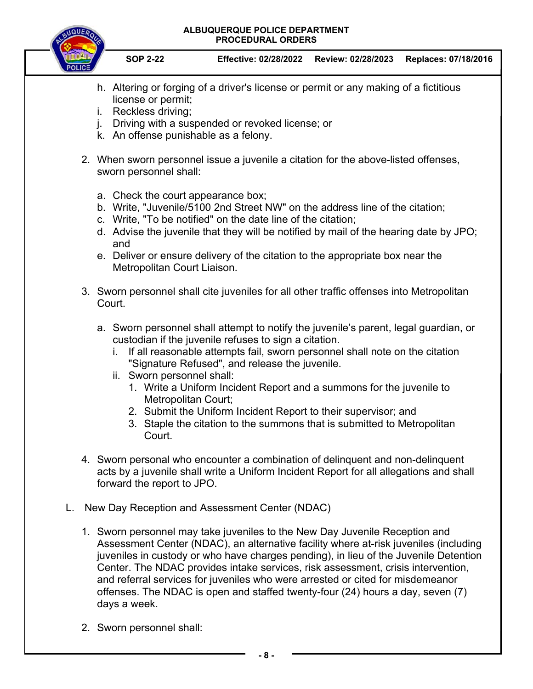

- h. Altering or forging of a driver's license or permit or any making of a fictitious license or permit;
- i. Reckless driving;
- j. Driving with a suspended or revoked license; or
- k. An offense punishable as a felony.
- 2. When sworn personnel issue a juvenile a citation for the above-listed offenses, sworn personnel shall:
	- a. Check the court appearance box;
	- b. Write, "Juvenile/5100 2nd Street NW" on the address line of the citation;
	- c. Write, "To be notified" on the date line of the citation;
	- d. Advise the juvenile that they will be notified by mail of the hearing date by JPO; and
	- e. Deliver or ensure delivery of the citation to the appropriate box near the Metropolitan Court Liaison.
- 3. Sworn personnel shall cite juveniles for all other traffic offenses into Metropolitan Court.
	- a. Sworn personnel shall attempt to notify the juvenile's parent, legal guardian, or custodian if the juvenile refuses to sign a citation.
		- i. If all reasonable attempts fail, sworn personnel shall note on the citation "Signature Refused", and release the juvenile.
		- ii. Sworn personnel shall:
			- 1. Write a Uniform Incident Report and a summons for the juvenile to Metropolitan Court;
			- 2. Submit the Uniform Incident Report to their supervisor; and
			- 3. Staple the citation to the summons that is submitted to Metropolitan Court.
- 4. Sworn personal who encounter a combination of delinquent and non-delinquent acts by a juvenile shall write a Uniform Incident Report for all allegations and shall forward the report to JPO.
- L. New Day Reception and Assessment Center (NDAC)
	- 1. Sworn personnel may take juveniles to the New Day Juvenile Reception and Assessment Center (NDAC), an alternative facility where at-risk juveniles (including juveniles in custody or who have charges pending), in lieu of the Juvenile Detention Center. The NDAC provides intake services, risk assessment, crisis intervention, and referral services for juveniles who were arrested or cited for misdemeanor offenses. The NDAC is open and staffed twenty-four (24) hours a day, seven (7) days a week.
	- 2. Sworn personnel shall: